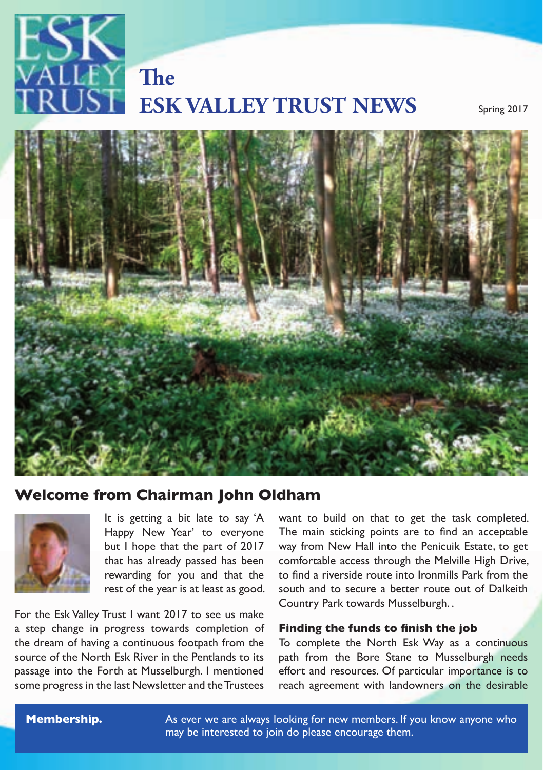

# **ESK VALLEY TRUST NEWS** Spring 2017 **The**



## Welcome from Chairman John Oldham<br>.



 $\frac{1}{\sqrt{2}}$  that has already passed has been It is getting a bit late to say 'A Happy New Year' to everyone but I hope that the part of 2017 rewarding for you and that the rest of the year is at least as good.

The the ESK valley in ust I want 2017 to see us make<br>a step change in progress towards completion of **Finding the funds to finish the job** the dream of having a continuous footpath from the To complete the North Esk Way as a continuous source of the North Esk Kiver in the Pentlands to its<br>passage into the Forth at Musselburgh. I mentioned some progress in the last Newsletter and the Trustees heach agreement w<br> For the Esk Valley Trust I want 2017 to see us make source of the North Esk River in the Pentlands to its

 $\blacksquare$  Happy New Year' to everyone The main sticking points are to find an acceptable  $\blacksquare$ want to build on that to get the task completed. way from New Hall into the Penicuik Estate, to get comfortable access through the Melville High Drive, to find a riverside route into Ironmills Park from the south and to secure a better route out of Dalkeith Country Park towards Musselburgh. .

#### **Finding the funds to finish the job**

To complete the North Esk Way as a continuous path from the Bore Stane to Musselburgh needs effort and resources. Of particular importance is to reach agreement with landowners on the desirable

walks,

**Membership.** As ever we are always looking for new members. If you know anyone who valleys, for local communities, for local communities, for example in planning outing  $\sim$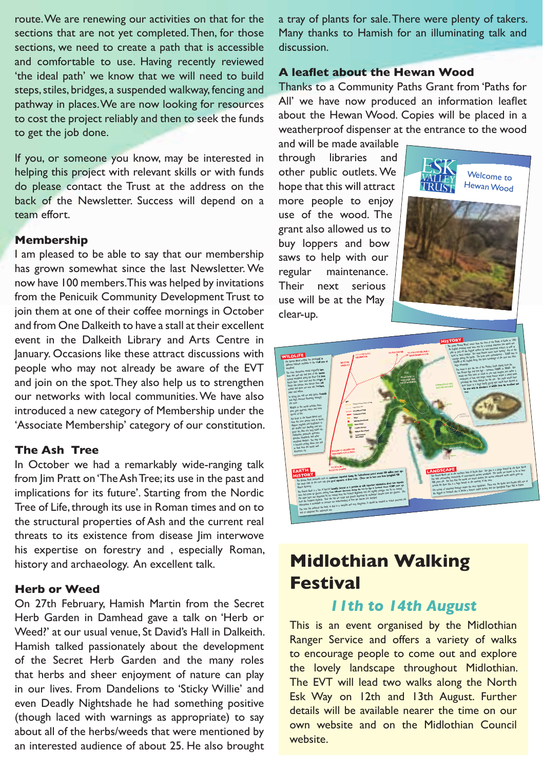route. We are renewing our activities on that for the sections that are not yet completed. Then, for those sections, we need to create a path that is accessible and comfortable to use. Having recently reviewed 'the ideal path' we know that we will need to build steps, stiles, bridges, a suspended walkway, fencing and pathway in places. We are now looking for resources to cost the project reliably and then to seek the funds to get the job done.

If you, or someone you know, may be interested in helping this project with relevant skills or with funds do please contact the Trust at the address on the back of the Newsletter. Success will depend on a team effort.

#### **Membership**

I am pleased to be able to say that our membership has grown somewhat since the last Newsletter. We now have 100 members. This was helped by invitations from the Penicuik Community Development Trust to join them at one of their coffee mornings in October and from One Dalkeith to have a stall at their excellent event in the Dalkeith Library and Arts Centre in January. Occasions like these attract discussions with people who may not already be aware of the EVT and join on the spot. They also help us to strengthen our networks with local communities. We have also introduced a new category of Membership under the 'Associate Membership' category of our constitution.

#### **The Ash Tree**

In October we had a remarkably wide-ranging talk from Jim Pratt on 'The Ash Tree; its use in the past and implications for its future'. Starting from the Nordic Tree of Life, through its use in Roman times and on to the structural properties of Ash and the current real threats to its existence from disease Jim interwove his expertise on forestry and , especially Roman, history and archaeology. An excellent talk.

#### **Herb or Weed**

On 27th February, Hamish Martin from the Secret Herb Garden in Damhead gave a talk on 'Herb or Weed?' at our usual venue, St David's Hall in Dalkeith. Hamish talked passionately about the development of the Secret Herb Garden and the many roles that herbs and sheer enjoyment of nature can play in our lives. From Dandelions to 'Sticky Willie' and even Deadly Nightshade he had something positive (though laced with warnings as appropriate) to say about all of the herbs/weeds that were mentioned by an interested audience of about 25. He also brought

a tray of plants for sale. There were plenty of takers. Many thanks to Hamish for an illuminating talk and discussion.

#### **A leaflet about the Hewan Wood**

Thanks to a Community Paths Grant from 'Paths for All' we have now produced an information leaflet about the Hewan Wood. Copies will be placed in a weatherproof dispenser at the entrance to the wood

and will be made available through libraries and other public outlets. We hope that this will attract more people to enjoy use of the wood. The grant also allowed us to buy loppers and bow saws to help with our regular maintenance. Their next serious Trient Frext Scribus<br>use will be at the May clear-up. BONNYRIGG egular Their





## **Midlothian Walking Festival**

### *11th to 14th August*

This is an event organised by the Midlothian Ranger Service and offers a variety of walks to encourage people to come out and explore the lovely landscape throughout Midlothian. The EVT will lead two walks along the North Esk Way on 12th and 13th August. Further details will be available nearer the time on our own website and on the Midlothian Council website.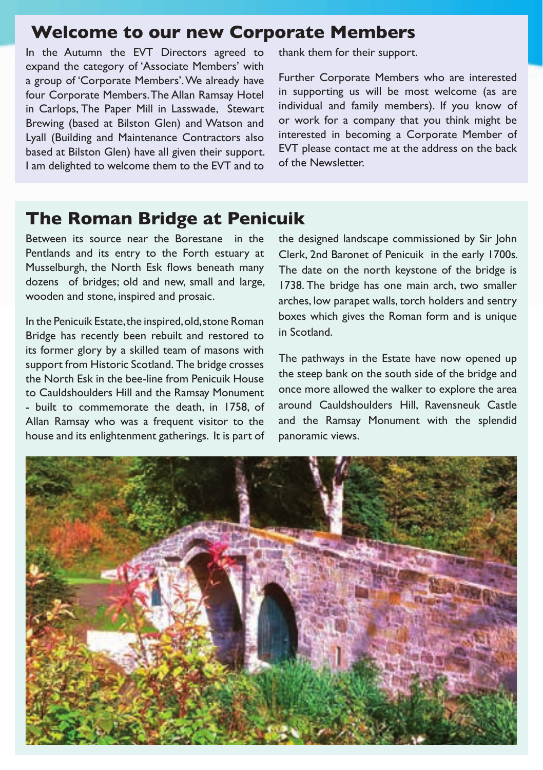## **Welcome to our new Corporate Members**

In the Autumn the EVT Directors agreed to expand the category of 'Associate Members' with a group of 'Corporate Members'. We already have four Corporate Members. The Allan Ramsay Hotel in Carlops, The Paper Mill in Lasswade, Stewart Brewing (based at Bilston Glen) and Watson and Lyall (Building and Maintenance Contractors also based at Bilston Glen) have all given their support. I am delighted to welcome them to the EVT and to

thank them for their support.

Further Corporate Members who are interested in supporting us will be most welcome (as are individual and family members). If you know of or work for a company that you think might be interested in becoming a Corporate Member of EVT please contact me at the address on the back of the Newsletter.

## **The Roman Bridge at Penicuik**

Between its source near the Borestane in the Pentlands and its entry to the Forth estuary at Musselburgh, the North Esk flows beneath many dozens of bridges; old and new, small and large, wooden and stone, inspired and prosaic.

In the Penicuik Estate, the inspired, old, stone Roman Bridge has recently been rebuilt and restored to its former glory by a skilled team of masons with support from Historic Scotland. The bridge crosses the North Esk in the bee-line from Penicuik House to Cauldshoulders Hill and the Ramsay Monument - built to commemorate the death, in 1758, of Allan Ramsay who was a frequent visitor to the house and its enlightenment gatherings. It is part of the designed landscape commissioned by Sir John Clerk, 2nd Baronet of Penicuik in the early 1700s. The date on the north keystone of the bridge is 1738. The bridge has one main arch, two smaller arches, low parapet walls, torch holders and sentry boxes which gives the Roman form and is unique in Scotland.

The pathways in the Estate have now opened up the steep bank on the south side of the bridge and once more allowed the walker to explore the area around Cauldshoulders Hill, Ravensneuk Castle and the Ramsay Monument with the splendid panoramic views.